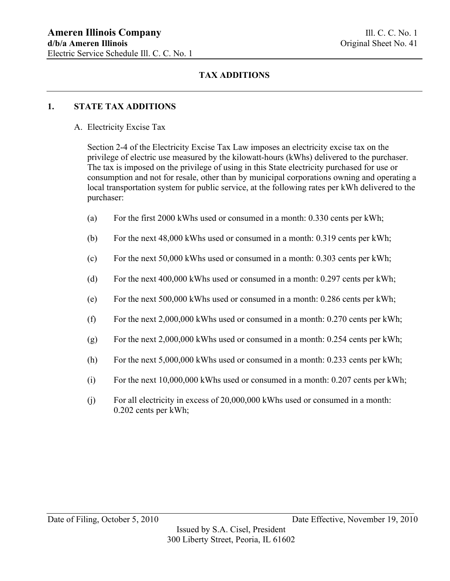## **1. STATE TAX ADDITIONS**

A. Electricity Excise Tax

Section 2-4 of the Electricity Excise Tax Law imposes an electricity excise tax on the privilege of electric use measured by the kilowatt-hours (kWhs) delivered to the purchaser. The tax is imposed on the privilege of using in this State electricity purchased for use or consumption and not for resale, other than by municipal corporations owning and operating a local transportation system for public service, at the following rates per kWh delivered to the purchaser:

- (a) For the first 2000 kWhs used or consumed in a month: 0.330 cents per kWh;
- (b) For the next 48,000 kWhs used or consumed in a month: 0.319 cents per kWh;
- (c) For the next 50,000 kWhs used or consumed in a month: 0.303 cents per kWh;
- (d) For the next 400,000 kWhs used or consumed in a month: 0.297 cents per kWh;
- (e) For the next 500,000 kWhs used or consumed in a month: 0.286 cents per kWh;
- (f) For the next  $2,000,000$  kWhs used or consumed in a month: 0.270 cents per kWh;
- (g) For the next  $2,000,000$  kWhs used or consumed in a month: 0.254 cents per kWh;
- (h) For the next 5,000,000 kWhs used or consumed in a month: 0.233 cents per kWh;
- (i) For the next  $10,000,000$  kWhs used or consumed in a month: 0.207 cents per kWh;
- (j) For all electricity in excess of 20,000,000 kWhs used or consumed in a month: 0.202 cents per kWh;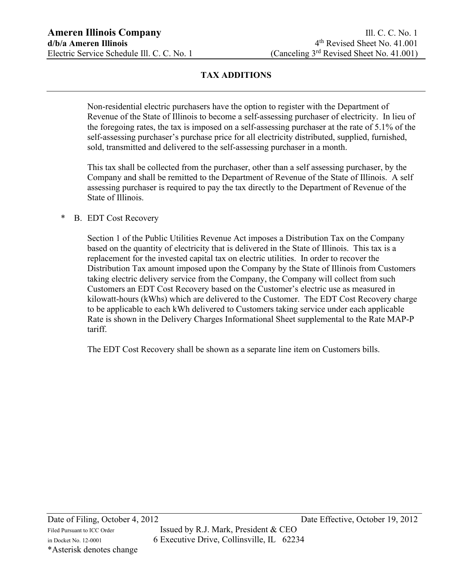Non-residential electric purchasers have the option to register with the Department of Revenue of the State of Illinois to become a self-assessing purchaser of electricity. In lieu of the foregoing rates, the tax is imposed on a self-assessing purchaser at the rate of 5.1% of the self-assessing purchaser's purchase price for all electricity distributed, supplied, furnished, sold, transmitted and delivered to the self-assessing purchaser in a month.

This tax shall be collected from the purchaser, other than a self assessing purchaser, by the Company and shall be remitted to the Department of Revenue of the State of Illinois. A self assessing purchaser is required to pay the tax directly to the Department of Revenue of the State of Illinois.

## \* B. EDT Cost Recovery

Section 1 of the Public Utilities Revenue Act imposes a Distribution Tax on the Company based on the quantity of electricity that is delivered in the State of Illinois. This tax is a replacement for the invested capital tax on electric utilities. In order to recover the Distribution Tax amount imposed upon the Company by the State of Illinois from Customers taking electric delivery service from the Company, the Company will collect from such Customers an EDT Cost Recovery based on the Customer's electric use as measured in kilowatt-hours (kWhs) which are delivered to the Customer. The EDT Cost Recovery charge to be applicable to each kWh delivered to Customers taking service under each applicable Rate is shown in the Delivery Charges Informational Sheet supplemental to the Rate MAP-P tariff.

The EDT Cost Recovery shall be shown as a separate line item on Customers bills.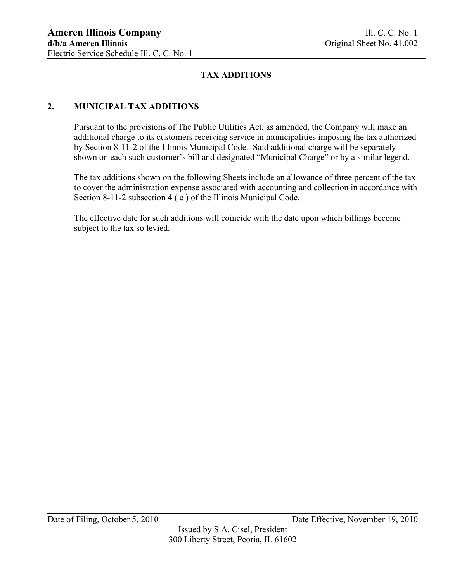## **2. MUNICIPAL TAX ADDITIONS**

Pursuant to the provisions of The Public Utilities Act, as amended, the Company will make an additional charge to its customers receiving service in municipalities imposing the tax authorized by Section 8-11-2 of the Illinois Municipal Code. Said additional charge will be separately shown on each such customer's bill and designated "Municipal Charge" or by a similar legend.

The tax additions shown on the following Sheets include an allowance of three percent of the tax to cover the administration expense associated with accounting and collection in accordance with Section 8-11-2 subsection 4 (c) of the Illinois Municipal Code.

The effective date for such additions will coincide with the date upon which billings become subject to the tax so levied.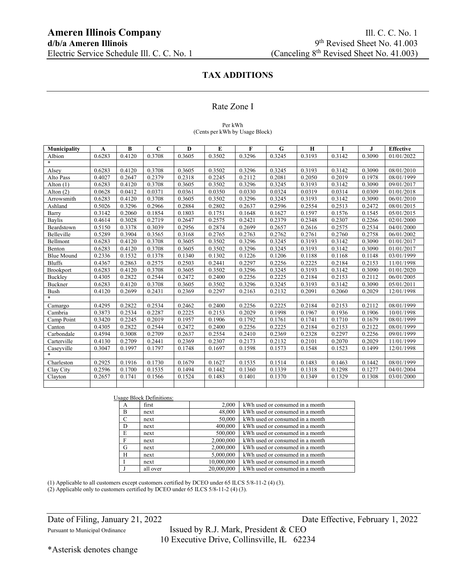### Rate Zone I

### Per kWh (Cents per kWh by Usage Block)

| Municipality      | A      | B      | $\mathbf C$ | D      | E      | $\mathbf{F}$ | G      | $\mathbf H$ | I      | J      | <b>Effective</b> |
|-------------------|--------|--------|-------------|--------|--------|--------------|--------|-------------|--------|--------|------------------|
| Albion            | 0.6283 | 0.4120 | 0.3708      | 0.3605 | 0.3502 | 0.3296       | 0.3245 | 0.3193      | 0.3142 | 0.3090 | 01/01/2022       |
| $\ast$            |        |        |             |        |        |              |        |             |        |        |                  |
| Alsey             | 0.6283 | 0.4120 | 0.3708      | 0.3605 | 0.3502 | 0.3296       | 0.3245 | 0.3193      | 0.3142 | 0.3090 | 08/01/2010       |
| Alto Pass         | 0.4027 | 0.2647 | 0.2379      | 0.2318 | 0.2245 | 0.2112       | 0.2081 | 0.2050      | 0.2019 | 0.1978 | 08/01/1999       |
| Alton $(1)$       | 0.6283 | 0.4120 | 0.3708      | 0.3605 | 0.3502 | 0.3296       | 0.3245 | 0.3193      | 0.3142 | 0.3090 | 09/01/2017       |
| Alton $(2)$       | 0.0628 | 0.0412 | 0.0371      | 0.0361 | 0.0350 | 0.0330       | 0.0324 | 0.0319      | 0.0314 | 0.0309 | 01/01/2018       |
| Arrowsmith        | 0.6283 | 0.4120 | 0.3708      | 0.3605 | 0.3502 | 0.3296       | 0.3245 | 0.3193      | 0.3142 | 0.3090 | 06/01/2010       |
| Ashland           | 0.5026 | 0.3296 | 0.2966      | 0.2884 | 0.2802 | 0.2637       | 0.2596 | 0.2554      | 0.2513 | 0.2472 | 08/01/2015       |
| Barry             | 0.3142 | 0.2060 | 0.1854      | 0.1803 | 0.1751 | 0.1648       | 0.1627 | 0.1597      | 0.1576 | 0.1545 | 05/01/2015       |
| <b>Baylis</b>     | 0.4614 | 0.3028 | 0.2719      | 0.2647 | 0.2575 | 0.2421       | 0.2379 | 0.2348      | 0.2307 | 0.2266 | 02/01/2000       |
| Beardstown        | 0.5150 | 0.3378 | 0.3039      | 0.2956 | 0.2874 | 0.2699       | 0.2657 | 0.2616      | 0.2575 | 0.2534 | 04/01/2000       |
| Belleville        | 0.5289 | 0.3904 | 0.3565      | 0.3168 | 0.2765 | 0.2763       | 0.2762 | 0.2761      | 0.2760 | 0.2758 | 06/01/2002       |
| Bellmont          | 0.6283 | 0.4120 | 0.3708      | 0.3605 | 0.3502 | 0.3296       | 0.3245 | 0.3193      | 0.3142 | 0.3090 | 01/01/2017       |
| Benton            | 0.6283 | 0.4120 | 0.3708      | 0.3605 | 0.3502 | 0.3296       | 0.3245 | 0.3193      | 0.3142 | 0.3090 | 01/01/2017       |
| <b>Blue Mound</b> | 0.2336 | 0.1532 | 0.1378      | 0.1340 | 0.1302 | 0.1226       | 0.1206 | 0.1188      | 0.1168 | 0.1148 | 03/01/1999       |
| <b>Bluffs</b>     | 0.4367 | 0.2863 | 0.2575      | 0.2503 | 0.2441 | 0.2297       | 0.2256 | 0.2225      | 0.2184 | 0.2153 | 11/01/1998       |
| Brookport         | 0.6283 | 0.4120 | 0.3708      | 0.3605 | 0.3502 | 0.3296       | 0.3245 | 0.3193      | 0.3142 | 0.3090 | 01/01/2020       |
| Buckley           | 0.4305 | 0.2822 | 0.2544      | 0.2472 | 0.2400 | 0.2256       | 0.2225 | 0.2184      | 0.2153 | 0.2112 | 06/01/2005       |
| Buckner           | 0.6283 | 0.4120 | 0.3708      | 0.3605 | 0.3502 | 0.3296       | 0.3245 | 0.3193      | 0.3142 | 0.3090 | 05/01/2011       |
| Bush              | 0.4120 | 0.2699 | 0.2431      | 0.2369 | 0.2297 | 0.2163       | 0.2132 | 0.2091      | 0.2060 | 0.2029 | 12/01/1998       |
| $\ast$            |        |        |             |        |        |              |        |             |        |        |                  |
| Camargo           | 0.4295 | 0.2822 | 0.2534      | 0.2462 | 0.2400 | 0.2256       | 0.2225 | 0.2184      | 0.2153 | 0.2112 | 08/01/1999       |
| Cambria           | 0.3873 | 0.2534 | 0.2287      | 0.2225 | 0.2153 | 0.2029       | 0.1998 | 0.1967      | 0.1936 | 0.1906 | 10/01/1998       |
| Camp Point        | 0.3420 | 0.2245 | 0.2019      | 0.1957 | 0.1906 | 0.1792       | 0.1761 | 0.1741      | 0.1710 | 0.1679 | 08/01/1999       |
| Canton            | 0.4305 | 0.2822 | 0.2544      | 0.2472 | 0.2400 | 0.2256       | 0.2225 | 0.2184      | 0.2153 | 0.2122 | 08/01/1999       |
| Carbondale        | 0.4594 | 0.3008 | 0.2709      | 0.2637 | 0.2554 | 0.2410       | 0.2369 | 0.2328      | 0.2297 | 0.2256 | 09/01/1999       |
| Carterville       | 0.4130 | 0.2709 | 0.2441      | 0.2369 | 0.2307 | 0.2173       | 0.2132 | 0.2101      | 0.2070 | 0.2029 | 11/01/1999       |
| Caseyville        | 0.3047 | 0.1997 | 0.1797      | 0.1748 | 0.1697 | 0.1598       | 0.1573 | 0.1548      | 0.1523 | 0.1499 | 12/01/1998       |
|                   |        |        |             |        |        |              |        |             |        |        |                  |
| Charleston        | 0.2925 | 0.1916 | 0.1730      | 0.1679 | 0.1627 | 0.1535       | 0.1514 | 0.1483      | 0.1463 | 0.1442 | 08/01/1999       |
| Clay City         | 0.2596 | 0.1700 | 0.1535      | 0.1494 | 0.1442 | 0.1360       | 0.1339 | 0.1318      | 0.1298 | 0.1277 | 04/01/2004       |
| Clayton           | 0.2657 | 0.1741 | 0.1566      | 0.1524 | 0.1483 | 0.1401       | 0.1370 | 0.1349      | 0.1329 | 0.1308 | 03/01/2000       |
|                   |        |        |             |        |        |              |        |             |        |        |                  |

|               | Usage Block Definitions: |            |                                 |
|---------------|--------------------------|------------|---------------------------------|
| А             | first                    | 2,000      | kWh used or consumed in a month |
| B             | next                     | 48,000     | kWh used or consumed in a month |
| $\mathcal{C}$ | next                     | 50,000     | kWh used or consumed in a month |
| D             | next                     | 400,000    | kWh used or consumed in a month |
| E             | next                     | 500,000    | kWh used or consumed in a month |
| F             | next                     | 2,000,000  | kWh used or consumed in a month |
| G             | next                     | 2,000,000  | kWh used or consumed in a month |
| H             | next                     | 5,000,000  | kWh used or consumed in a month |
|               | next                     | 10,000,000 | kWh used or consumed in a month |
|               | all over                 | 20,000,000 | kWh used or consumed in a month |

(1) Applicable to all customers except customers certified by DCEO under 65 ILCS 5/8-11-2 (4) (3).

(2) Applicable only to customers certified by DCEO under 65 ILCS 5/8-11-2 (4) (3).

Pursuant to Municipal Ordinance Issued by R.J. Mark, President & CEO 10 Executive Drive, Collinsville, IL 62234

\*Asterisk denotes change

Date of Filing, January 21, 2022 Date Effective, February 1, 2022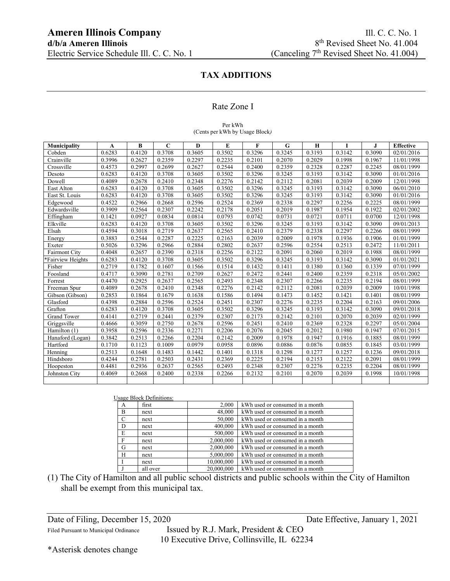### Rate Zone I

#### Per kWh (Cents per kWh by Usage Block*)*

| Municipality         | A      | $\bf{B}$ | $\mathbf C$ | D      | E      | $\mathbf{F}$ | G      | $\mathbf H$ | T      | J.     | <b>Effective</b> |
|----------------------|--------|----------|-------------|--------|--------|--------------|--------|-------------|--------|--------|------------------|
| Cobden               | 0.6283 | 0.4120   | 0.3708      | 0.3605 | 0.3502 | 0.3296       | 0.3245 | 0.3193      | 0.3142 | 0.3090 | 02/01/2016       |
| Crainville           | 0.3996 | 0.2627   | 0.2359      | 0.2297 | 0.2235 | 0.2101       | 0.2070 | 0.2029      | 0.1998 | 0.1967 | 11/01/1998       |
| Crossville           | 0.4573 | 0.2997   | 0.2699      | 0.2627 | 0.2544 | 0.2400       | 0.2359 | 0.2328      | 0.2287 | 0.2245 | 08/01/1999       |
| Desoto               | 0.6283 | 0.4120   | 0.3708      | 0.3605 | 0.3502 | 0.3296       | 0.3245 | 0.3193      | 0.3142 | 0.3090 | 01/01/2016       |
| Dowell               | 0.4089 | 0.2678   | 0.2410      | 0.2348 | 0.2276 | 0.2142       | 0.2112 | 0.2081      | 0.2039 | 0.2009 | 12/01/1998       |
| East Alton           | 0.6283 | 0.4120   | 0.3708      | 0.3605 | 0.3502 | 0.3296       | 0.3245 | 0.3193      | 0.3142 | 0.3090 | 06/01/2010       |
| East St. Louis       | 0.6283 | 0.4120   | 0.3708      | 0.3605 | 0.3502 | 0.3296       | 0.3245 | 0.3193      | 0.3142 | 0.3090 | 01/01/2016       |
| Edgewood             | 0.4522 | 0.2966   | 0.2668      | 0.2596 | 0.2524 | 0.2369       | 0.2338 | 0.2297      | 0.2256 | 0.2225 | 08/01/1999       |
| Edwardsville         | 0.3909 | 0.2564   | 0.2307      | 0.2242 | 0.2178 | 0.2051       | 0.2019 | 0.1987      | 0.1954 | 0.1922 | 02/01/2002       |
| Effingham            | 0.1421 | 0.0927   | 0.0834      | 0.0814 | 0.0793 | 0.0742       | 0.0731 | 0.0721      | 0.0711 | 0.0700 | 12/01/1998       |
| Elkville             | 0.6283 | 0.4120   | 0.3708      | 0.3605 | 0.3502 | 0.3296       | 0.3245 | 0.3193      | 0.3142 | 0.3090 | 09/01/2013       |
| Elsah                | 0.4594 | 0.3018   | 0.2719      | 0.2637 | 0.2565 | 0.2410       | 0.2379 | 0.2338      | 0.2297 | 0.2266 | 08/01/1999       |
| Energy               | 0.3883 | 0.2544   | 0.2287      | 0.2225 | 0.2163 | 0.2039       | 0.2009 | 0.1978      | 0.1936 | 0.1906 | 01/01/1999       |
| Exeter               | 0.5026 | 0.3296   | 0.2966      | 0.2884 | 0.2802 | 0.2637       | 0.2596 | 0.2554      | 0.2513 | 0.2472 | 11/01/2011       |
| <b>Fairmont City</b> | 0.4048 | 0.2657   | 0.2390      | 0.2318 | 0.2256 | 0.2122       | 0.2091 | 0.2060      | 0.2019 | 0.1988 | 08/01/1999       |
| *Fairview Heights    | 0.6283 | 0.4120   | 0.3708      | 0.3605 | 0.3502 | 0.3296       | 0.3245 | 0.3193      | 0.3142 | 0.3090 | 01/01/2021       |
| Fisher               | 0.2719 | 0.1782   | 0.1607      | 0.1566 | 0.1514 | 0.1432       | 0.1411 | 0.1380      | 0.1360 | 0.1339 | 07/01/1999       |
| Foosland             | 0.4717 | 0.3090   | 0.2781      | 0.2709 | 0.2627 | 0.2472       | 0.2441 | 0.2400      | 0.2359 | 0.2318 | 05/01/2002       |
| Forrest              | 0.4470 | 0.2925   | 0.2637      | 0.2565 | 0.2493 | 0.2348       | 0.2307 | 0.2266      | 0.2235 | 0.2194 | 08/01/1999       |
| Freeman Spur         | 0.4089 | 0.2678   | 0.2410      | 0.2348 | 0.2276 | 0.2142       | 0.2112 | 0.2081      | 0.2039 | 0.2009 | 10/01/1998       |
| Gibson (Gibson)      | 0.2853 | 0.1864   | 0.1679      | 0.1638 | 0.1586 | 0.1494       | 0.1473 | 0.1452      | 0.1421 | 0.1401 | 08/01/1999       |
| Glasford             | 0.4398 | 0.2884   | 0.2596      | 0.2524 | 0.2451 | 0.2307       | 0.2276 | 0.2235      | 0.2204 | 0.2163 | 09/01/2006       |
| Grafton              | 0.6283 | 0.4120   | 0.3708      | 0.3605 | 0.3502 | 0.3296       | 0.3245 | 0.3193      | 0.3142 | 0.3090 | 09/01/2018       |
| <b>Grand Tower</b>   | 0.4141 | 0.2719   | 0.2441      | 0.2379 | 0.2307 | 0.2173       | 0.2142 | 0.2101      | 0.2070 | 0.2039 | 02/01/1999       |
| Griggsville          | 0.4666 | 0.3059   | 0.2750      | 0.2678 | 0.2596 | 0.2451       | 0.2410 | 0.2369      | 0.2328 | 0.2297 | 05/01/2004       |
| Hamilton (1)         | 0.3958 | 0.2596   | 0.2336      | 0.2271 | 0.2206 | 0.2076       | 0.2045 | 0.2012      | 0.1980 | 0.1947 | 07/01/2015       |
| Hanaford (Logan)     | 0.3842 | 0.2513   | 0.2266      | 0.2204 | 0.2142 | 0.2009       | 0.1978 | 0.1947      | 0.1916 | 0.1885 | 08/01/1999       |
| Hartford             | 0.1710 | 0.1123   | 0.1009      | 0.0979 | 0.0958 | 0.0896       | 0.0886 | 0.0876      | 0.0855 | 0.1845 | 03/01/1999       |
| Henning              | 0.2513 | 0.1648   | 0.1483      | 0.1442 | 0.1401 | 0.1318       | 0.1298 | 0.1277      | 0.1257 | 0.1236 | 09/01/2018       |
| Hindsboro            | 0.4244 | 0.2781   | 0.2503      | 0.2431 | 0.2369 | 0.2225       | 0.2194 | 0.2153      | 0.2122 | 0.2091 | 08/01/1999       |
| Hoopeston            | 0.4481 | 0.2936   | 0.2637      | 0.2565 | 0.2493 | 0.2348       | 0.2307 | 0.2276      | 0.2235 | 0.2204 | 08/01/1999       |
| Johnston City        | 0.4069 | 0.2668   | 0.2400      | 0.2338 | 0.2266 | 0.2132       | 0.2101 | 0.2070      | 0.2039 | 0.1998 | 10/01/1998       |
|                      |        |          |             |        |        |              |        |             |        |        |                  |

| 2,000<br>kWh used or consumed in a month<br>first<br>A<br>B<br>48,000<br>kWh used or consumed in a month<br>next |  |
|------------------------------------------------------------------------------------------------------------------|--|
|                                                                                                                  |  |
|                                                                                                                  |  |
| $\mathcal{C}$<br>50,000<br>kWh used or consumed in a month<br>next                                               |  |
| D<br>400,000<br>kWh used or consumed in a month<br>next                                                          |  |
| E<br>500,000<br>kWh used or consumed in a month<br>next                                                          |  |
| F<br>2,000,000<br>kWh used or consumed in a month<br>next                                                        |  |
| G<br>2,000,000<br>kWh used or consumed in a month<br>next                                                        |  |
| 5,000,000<br>H<br>kWh used or consumed in a month<br>next                                                        |  |
| 10,000,000<br>kWh used or consumed in a month<br>next                                                            |  |
| 20,000,000<br>kWh used or consumed in a month<br>all over                                                        |  |

(1) The City of Hamilton and all public school districts and public schools within the City of Hamilton shall be exempt from this municipal tax.

Date of Filing, December 15, 2020 Date Effective, January 1, 2021

Filed Pursuant to Municipal Ordinance Issued by R.J. Mark, President & CEO 10 Executive Drive, Collinsville, IL 62234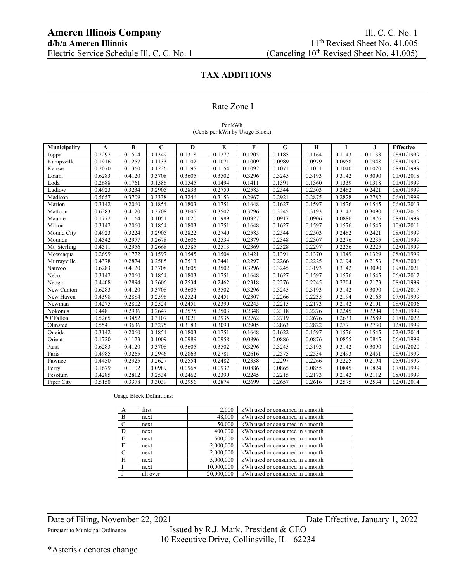### Rate Zone I

#### Per kWh (Cents per kWh by Usage Block)

| <b>Municipality</b> | A      | B      | $\mathbf C$ | D      | E      | F      | G      | H      |        | J      | <b>Effective</b> |
|---------------------|--------|--------|-------------|--------|--------|--------|--------|--------|--------|--------|------------------|
| Joppa               | 0.2297 | 0.1504 | 0.1349      | 0.1318 | 0.1277 | 0.1205 | 0.1185 | 0.1164 | 0.1143 | 0.1133 | 08/01/1999       |
| Kampsville          | 0.1916 | 0.1257 | 0.1133      | 0.1102 | 0.1071 | 0.1009 | 0.0989 | 0.0979 | 0.0958 | 0.0948 | 08/01/1999       |
| Kansas              | 0.2070 | 0.1360 | 0.1226      | 0.1195 | 0.1154 | 0.1092 | 0.1071 | 0.1051 | 0.1040 | 0.1020 | 08/01/1999       |
| Loami               | 0.6283 | 0.4120 | 0.3708      | 0.3605 | 0.3502 | 0.3296 | 0.3245 | 0.3193 | 0.3142 | 0.3090 | 01/01/2018       |
| Loda                | 0.2688 | 0.1761 | 0.1586      | 0.1545 | 0.1494 | 0.1411 | 0.1391 | 0.1360 | 0.1339 | 0.1318 | 01/01/1999       |
| Ludlow              | 0.4923 | 0.3234 | 0.2905      | 0.2833 | 0.2750 | 0.2585 | 0.2544 | 0.2503 | 0.2462 | 0.2421 | 08/01/1999       |
| Madison             | 0.5657 | 0.3709 | 0.3338      | 0.3246 | 0.3153 | 0.2967 | 0.2921 | 0.2875 | 0.2828 | 0.2782 | 06/01/1999       |
| Marion              | 0.3142 | 0.2060 | 0.1854      | 0.1803 | 0.1751 | 0.1648 | 0.1627 | 0.1597 | 0.1576 | 0.1545 | 06/01/2013       |
| Mattoon             | 0.6283 | 0.4120 | 0.3708      | 0.3605 | 0.3502 | 0.3296 | 0.3245 | 0.3193 | 0.3142 | 0.3090 | 03/01/2016       |
| Maunie              | 0.1772 | 0.1164 | 0.1051      | 0.1020 | 0.0989 | 0.0927 | 0.0917 | 0.0906 | 0.0886 | 0.0876 | 08/01/1999       |
| Milton              | 0.3142 | 0.2060 | 0.1854      | 0.1803 | 0.1751 | 0.1648 | 0.1627 | 0.1597 | 0.1576 | 0.1545 | 10/01/2011       |
| Mound City          | 0.4923 | 0.3224 | 0.2905      | 0.2822 | 0.2740 | 0.2585 | 0.2544 | 0.2503 | 0.2462 | 0.2421 | 08/01/1999       |
| Mounds              | 0.4542 | 0.2977 | 0.2678      | 0.2606 | 0.2534 | 0.2379 | 0.2348 | 0.2307 | 0.2276 | 0.2235 | 08/01/1999       |
| Mt. Sterling        | 0.4511 | 0.2956 | 0.2668      | 0.2585 | 0.2513 | 0.2369 | 0.2328 | 0.2297 | 0.2256 | 0.2225 | 02/01/1999       |
| Moweaqua            | 0.2699 | 0.1772 | 0.1597      | 0.1545 | 0.1504 | 0.1421 | 0.1391 | 0.1370 | 0.1349 | 0.1329 | 08/01/1999       |
| Murrayville         | 0.4378 | 0.2874 | 0.2585      | 0.2513 | 0.2441 | 0.2297 | 0.2266 | 0.2225 | 0.2194 | 0.2153 | 08/01/2006       |
| Nauvoo              | 0.6283 | 0.4120 | 0.3708      | 0.3605 | 0.3502 | 0.3296 | 0.3245 | 0.3193 | 0.3142 | 0.3090 | 09/01/2021       |
| Nebo                | 0.3142 | 0.2060 | 0.1854      | 0.1803 | 0.1751 | 0.1648 | 0.1627 | 0.1597 | 0.1576 | 0.1545 | 06/01/2012       |
| Neoga               | 0.4408 | 0.2894 | 0.2606      | 0.2534 | 0.2462 | 0.2318 | 0.2276 | 0.2245 | 0.2204 | 0.2173 | 08/01/1999       |
| New Canton          | 0.6283 | 0.4120 | 0.3708      | 0.3605 | 0.3502 | 0.3296 | 0.3245 | 0.3193 | 0.3142 | 0.3090 | 01/01/2017       |
| New Haven           | 0.4398 | 0.2884 | 0.2596      | 0.2524 | 0.2451 | 0.2307 | 0.2266 | 0.2235 | 0.2194 | 0.2163 | 07/01/1999       |
| Newman              | 0.4275 | 0.2802 | 0.2524      | 0.2451 | 0.2390 | 0.2245 | 0.2215 | 0.2173 | 0.2142 | 0.2101 | 08/01/2006       |
| Nokomis             | 0.4481 | 0.2936 | 0.2647      | 0.2575 | 0.2503 | 0.2348 | 0.2318 | 0.2276 | 0.2245 | 0.2204 | 06/01/1999       |
| *O'Fallon           | 0.5265 | 0.3452 | 0.3107      | 0.3021 | 0.2935 | 0.2762 | 0.2719 | 0.2676 | 0.2633 | 0.2589 | 01/01/2022       |
| Olmsted             | 0.5541 | 0.3636 | 0.3275      | 0.3183 | 0.3090 | 0.2905 | 0.2863 | 0.2822 | 0.2771 | 0.2730 | 12/01/1999       |
| Oneida              | 0.3142 | 0.2060 | 0.1854      | 0.1803 | 0.1751 | 0.1648 | 0.1622 | 0.1597 | 0.1576 | 0.1545 | 02/01/2014       |
| Orient              | 0.1720 | 0.1123 | 0.1009      | 0.0989 | 0.0958 | 0.0896 | 0.0886 | 0.0876 | 0.0855 | 0.0845 | 06/01/1999       |
| Pana                | 0.6283 | 0.4120 | 0.3708      | 0.3605 | 0.3502 | 0.3296 | 0.3245 | 0.3193 | 0.3142 | 0.3090 | 01/01/2020       |
| Paris               | 0.4985 | 0.3265 | 0.2946      | 0.2863 | 0.2781 | 0.2616 | 0.2575 | 0.2534 | 0.2493 | 0.2451 | 08/01/1999       |
| Pawnee              | 0.4450 | 0.2925 | 0.2627      | 0.2554 | 0.2482 | 0.2338 | 0.2297 | 0.2266 | 0.2225 | 0.2194 | 05/01/1999       |
| Perry               | 0.1679 | 0.1102 | 0.0989      | 0.0968 | 0.0937 | 0.0886 | 0.0865 | 0.0855 | 0.0845 | 0.0824 | 07/01/1999       |
| Pesotum             | 0.4285 | 0.2812 | 0.2534      | 0.2462 | 0.2390 | 0.2245 | 0.2215 | 0.2173 | 0.2142 | 0.2112 | 08/01/1999       |
| Piper City          | 0.5150 | 0.3378 | 0.3039      | 0.2956 | 0.2874 | 0.2699 | 0.2657 | 0.2616 | 0.2575 | 0.2534 | 02/01/2014       |

### Usage Block Definitions:

| A             | first    | 2,000      | kWh used or consumed in a month |
|---------------|----------|------------|---------------------------------|
| B             | next     | 48,000     | kWh used or consumed in a month |
| $\mathcal{C}$ | next     | 50,000     | kWh used or consumed in a month |
| D             | next     | 400,000    | kWh used or consumed in a month |
| E             | next     | 500,000    | kWh used or consumed in a month |
| $\mathbf{F}$  | next     | 2,000,000  | kWh used or consumed in a month |
| G             | next     | 2,000,000  | kWh used or consumed in a month |
| H             | next     | 5,000,000  | kWh used or consumed in a month |
|               | next     | 10,000,000 | kWh used or consumed in a month |
|               | all over | 20,000,000 | kWh used or consumed in a month |

Date of Filing, November 22, 2021 Date Effective, January 1, 2022

Pursuant to Municipal Ordinance Issued by R.J. Mark, President & CEO 10 Executive Drive, Collinsville, IL 62234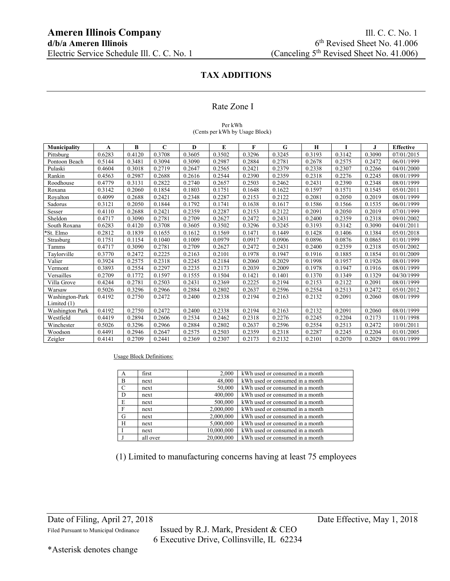### Rate Zone I

#### Per kWh (Cents per kWh by Usage Block)

| Municipality           | A      | В      | $\mathbf C$ | D      | E      | F      | G      | H      |        | J.     | <b>Effective</b> |
|------------------------|--------|--------|-------------|--------|--------|--------|--------|--------|--------|--------|------------------|
| Pittsburg              | 0.6283 | 0.4120 | 0.3708      | 0.3605 | 0.3502 | 0.3296 | 0.3245 | 0.3193 | 0.3142 | 0.3090 | 07/01/2015       |
| Pontoon Beach          | 0.5144 | 0.3481 | 0.3094      | 0.3090 | 0.2987 | 0.2884 | 0.2781 | 0.2678 | 0.2575 | 0.2472 | 06/01/1999       |
| Pulaski                | 0.4604 | 0.3018 | 0.2719      | 0.2647 | 0.2565 | 0.2421 | 0.2379 | 0.2338 | 0.2307 | 0.2266 | 04/01/2000       |
| Rankin                 | 0.4563 | 0.2987 | 0.2688      | 0.2616 | 0.2544 | 0.2390 | 0.2359 | 0.2318 | 0.2276 | 0.2245 | 08/01/1999       |
| Roodhouse              | 0.4779 | 0.3131 | 0.2822      | 0.2740 | 0.2657 | 0.2503 | 0.2462 | 0.2431 | 0.2390 | 0.2348 | 08/01/1999       |
| Roxana                 | 0.3142 | 0.2060 | 0.1854      | 0.1803 | 0.1751 | 0.1648 | 0.1622 | 0.1597 | 0.1571 | 0.1545 | 05/01/2011       |
| Royalton               | 0.4099 | 0.2688 | 0.2421      | 0.2348 | 0.2287 | 0.2153 | 0.2122 | 0.2081 | 0.2050 | 0.2019 | 08/01/1999       |
| Sadorus                | 0.3121 | 0.2050 | 0.1844      | 0.1792 | 0.1741 | 0.1638 | 0.1617 | 0.1586 | 0.1566 | 0.1535 | 06/01/1999       |
| Sesser                 | 0.4110 | 0.2688 | 0.2421      | 0.2359 | 0.2287 | 0.2153 | 0.2122 | 0.2091 | 0.2050 | 0.2019 | 07/01/1999       |
| Sheldon                | 0.4717 | 0.3090 | 0.2781      | 0.2709 | 0.2627 | 0.2472 | 0.2431 | 0.2400 | 0.2359 | 0.2318 | 09/01/2002       |
| South Roxana           | 0.6283 | 0.4120 | 0.3708      | 0.3605 | 0.3502 | 0.3296 | 0.3245 | 0.3193 | 0.3142 | 0.3090 | 04/01/2011       |
| *St. Elmo              | 0.2812 | 0.1839 | 0.1655      | 0.1612 | 0.1569 | 0.1471 | 0.1449 | 0.1428 | 0.1406 | 0.1384 | 05/01/2018       |
| Strasburg              | 0.1751 | 0.1154 | 0.1040      | 0.1009 | 0.0979 | 0.0917 | 0.0906 | 0.0896 | 0.0876 | 0.0865 | 01/01/1999       |
| Tamms                  | 0.4717 | 0.3090 | 0.2781      | 0.2709 | 0.2627 | 0.2472 | 0.2431 | 0.2400 | 0.2359 | 0.2318 | 05/01/2002       |
| Taylorville            | 0.3770 | 0.2472 | 0.2225      | 0.2163 | 0.2101 | 0.1978 | 0.1947 | 0.1916 | 0.1885 | 0.1854 | 01/01/2009       |
| Valier                 | 0.3924 | 0.2575 | 0.2318      | 0.2245 | 0.2184 | 0.2060 | 0.2029 | 0.1998 | 0.1957 | 0.1926 | 08/01/1999       |
| Vermont                | 0.3893 | 0.2554 | 0.2297      | 0.2235 | 0.2173 | 0.2039 | 0.2009 | 0.1978 | 0.1947 | 0.1916 | 08/01/1999       |
| Versailles             | 0.2709 | 0.1772 | 0.1597      | 0.1555 | 0.1504 | 0.1421 | 0.1401 | 0.1370 | 0.1349 | 0.1329 | 04/30/1999       |
| Villa Grove            | 0.4244 | 0.2781 | 0.2503      | 0.2431 | 0.2369 | 0.2225 | 0.2194 | 0.2153 | 0.2122 | 0.2091 | 08/01/1999       |
| Warsaw                 | 0.5026 | 0.3296 | 0.2966      | 0.2884 | 0.2802 | 0.2637 | 0.2596 | 0.2554 | 0.2513 | 0.2472 | 05/01/2012       |
| Washington-Park        | 0.4192 | 0.2750 | 0.2472      | 0.2400 | 0.2338 | 0.2194 | 0.2163 | 0.2132 | 0.2091 | 0.2060 | 08/01/1999       |
| Limited (1)            |        |        |             |        |        |        |        |        |        |        |                  |
| <b>Washington Park</b> | 0.4192 | 0.2750 | 0.2472      | 0.2400 | 0.2338 | 0.2194 | 0.2163 | 0.2132 | 0.2091 | 0.2060 | 08/01/1999       |
| Westfield              | 0.4419 | 0.2894 | 0.2606      | 0.2534 | 0.2462 | 0.2318 | 0.2276 | 0.2245 | 0.2204 | 0.2173 | 11/01/1998       |
| Winchester             | 0.5026 | 0.3296 | 0.2966      | 0.2884 | 0.2802 | 0.2637 | 0.2596 | 0.2554 | 0.2513 | 0.2472 | 10/01/2011       |
| Woodson                | 0.4491 | 0.2946 | 0.2647      | 0.2575 | 0.2503 | 0.2359 | 0.2318 | 0.2287 | 0.2245 | 0.2204 | 01/01/2005       |
| Zeigler                | 0.4141 | 0.2709 | 0.2441      | 0.2369 | 0.2307 | 0.2173 | 0.2132 | 0.2101 | 0.2070 | 0.2029 | 08/01/1999       |

### Usage Block Definitions:

| A             | first    | 2,000      | kWh used or consumed in a month |
|---------------|----------|------------|---------------------------------|
| B             | next     | 48,000     | kWh used or consumed in a month |
| $\mathcal{C}$ | next     | 50,000     | kWh used or consumed in a month |
| D             | next     | 400,000    | kWh used or consumed in a month |
| E             | next     | 500,000    | kWh used or consumed in a month |
| $\mathbf{F}$  | next     | 2,000,000  | kWh used or consumed in a month |
| G             | next     | 2,000,000  | kWh used or consumed in a month |
| H             | next     | 5,000,000  | kWh used or consumed in a month |
|               | next     | 10,000,000 | kWh used or consumed in a month |
|               | all over | 20,000,000 | kWh used or consumed in a month |

(1) Limited to manufacturing concerns having at least 75 employees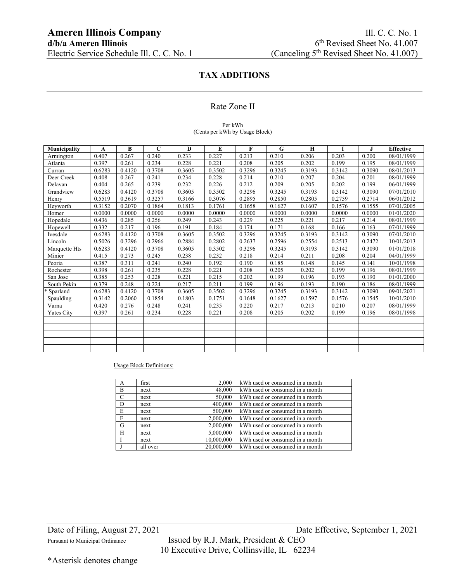### Rate Zone II

### Per kWh (Cents per kWh by Usage Block)

| <b>Municipality</b> | A      | B      | C      | D      | E      | F      | G      | H      |        | J      | <b>Effective</b> |
|---------------------|--------|--------|--------|--------|--------|--------|--------|--------|--------|--------|------------------|
| Armington           | 0.407  | 0.267  | 0.240  | 0.233  | 0.227  | 0.213  | 0.210  | 0.206  | 0.203  | 0.200  | 08/01/1999       |
| Atlanta             | 0.397  | 0.261  | 0.234  | 0.228  | 0.221  | 0.208  | 0.205  | 0.202  | 0.199  | 0.195  | 08/01/1999       |
| Curran              | 0.6283 | 0.4120 | 0.3708 | 0.3605 | 0.3502 | 0.3296 | 0.3245 | 0.3193 | 0.3142 | 0.3090 | 08/01/2013       |
| Deer Creek          | 0.408  | 0.267  | 0.241  | 0.234  | 0.228  | 0.214  | 0.210  | 0.207  | 0.204  | 0.201  | 08/01/1999       |
| Delavan             | 0.404  | 0.265  | 0.239  | 0.232  | 0.226  | 0.212  | 0.209  | 0.205  | 0.202  | 0.199  | 06/01/1999       |
| Grandview           | 0.6283 | 0.4120 | 0.3708 | 0.3605 | 0.3502 | 0.3296 | 0.3245 | 0.3193 | 0.3142 | 0.3090 | 07/01/2010       |
| Henry               | 0.5519 | 0.3619 | 0.3257 | 0.3166 | 0.3076 | 0.2895 | 0.2850 | 0.2805 | 0.2759 | 0.2714 | 06/01/2012       |
| Heyworth            | 0.3152 | 0.2070 | 0.1864 | 0.1813 | 0.1761 | 0.1658 | 0.1627 | 0.1607 | 0.1576 | 0.1555 | 07/01/2005       |
| Homer               | 0.0000 | 0.0000 | 0.0000 | 0.0000 | 0.0000 | 0.0000 | 0.0000 | 0.0000 | 0.0000 | 0.0000 | 01/01/2020       |
| Hopedale            | 0.436  | 0.285  | 0.256  | 0.249  | 0.243  | 0.229  | 0.225  | 0.221  | 0.217  | 0.214  | 08/01/1999       |
| Hopewell            | 0.332  | 0.217  | 0.196  | 0.191  | 0.184  | 0.174  | 0.171  | 0.168  | 0.166  | 0.163  | 07/01/1999       |
| Ivesdale            | 0.6283 | 0.4120 | 0.3708 | 0.3605 | 0.3502 | 0.3296 | 0.3245 | 0.3193 | 0.3142 | 0.3090 | 07/01/2010       |
| Lincoln             | 0.5026 | 0.3296 | 0.2966 | 0.2884 | 0.2802 | 0.2637 | 0.2596 | 0.2554 | 0.2513 | 0.2472 | 10/01/2013       |
| Marquette Hts       | 0.6283 | 0.4120 | 0.3708 | 0.3605 | 0.3502 | 0.3296 | 0.3245 | 0.3193 | 0.3142 | 0.3090 | 01/01/2018       |
| Minier              | 0.415  | 0.273  | 0.245  | 0.238  | 0.232  | 0.218  | 0.214  | 0.211  | 0.208  | 0.204  | 04/01/1999       |
| Peoria              | 0.387  | 0.311  | 0.241  | 0.240  | 0.192  | 0.190  | 0.185  | 0.148  | 0.145  | 0.141  | 10/01/1998       |
| Rochester           | 0.398  | 0.261  | 0.235  | 0.228  | 0.221  | 0.208  | 0.205  | 0.202  | 0.199  | 0.196  | 08/01/1999       |
| San Jose            | 0.385  | 0.253  | 0.228  | 0.221  | 0.215  | 0.202  | 0.199  | 0.196  | 0.193  | 0.190  | 01/01/2000       |
| South Pekin         | 0.379  | 0.248  | 0.224  | 0.217  | 0.211  | 0.199  | 0.196  | 0.193  | 0.190  | 0.186  | 08/01/1999       |
| * Sparland          | 0.6283 | 0.4120 | 0.3708 | 0.3605 | 0.3502 | 0.3296 | 0.3245 | 0.3193 | 0.3142 | 0.3090 | 09/01/2021       |
| Spaulding           | 0.3142 | 0.2060 | 0.1854 | 0.1803 | 0.1751 | 0.1648 | 0.1627 | 0.1597 | 0.1576 | 0.1545 | 10/01/2010       |
| Varna               | 0.420  | 0.276  | 0.248  | 0.241  | 0.235  | 0.220  | 0.217  | 0.213  | 0.210  | 0.207  | 08/01/1999       |
| Yates City          | 0.397  | 0.261  | 0.234  | 0.228  | 0.221  | 0.208  | 0.205  | 0.202  | 0.199  | 0.196  | 08/01/1998       |
|                     |        |        |        |        |        |        |        |        |        |        |                  |
|                     |        |        |        |        |        |        |        |        |        |        |                  |
|                     |        |        |        |        |        |        |        |        |        |        |                  |
|                     |        |        |        |        |        |        |        |        |        |        |                  |
|                     |        |        |        |        |        |        |        |        |        |        |                  |

Usage Block Definitions:

| A             | first    | 2,000      | kWh used or consumed in a month |
|---------------|----------|------------|---------------------------------|
| B             | next     | 48,000     | kWh used or consumed in a month |
| $\mathcal{C}$ | next     | 50,000     | kWh used or consumed in a month |
| D             | next     | 400,000    | kWh used or consumed in a month |
| E             | next     | 500,000    | kWh used or consumed in a month |
| F             | next     | 2,000,000  | kWh used or consumed in a month |
| G             | next     | 2,000,000  | kWh used or consumed in a month |
| H             | next     | 5,000,000  | kWh used or consumed in a month |
|               | next     | 10,000,000 | kWh used or consumed in a month |
|               | all over | 20,000,000 | kWh used or consumed in a month |

Date of Filing, August 27, 2021 Date Effective, September 1, 2021

Pursuant to Municipal Ordinance Issued by R.J. Mark, President & CEO 10 Executive Drive, Collinsville, IL 62234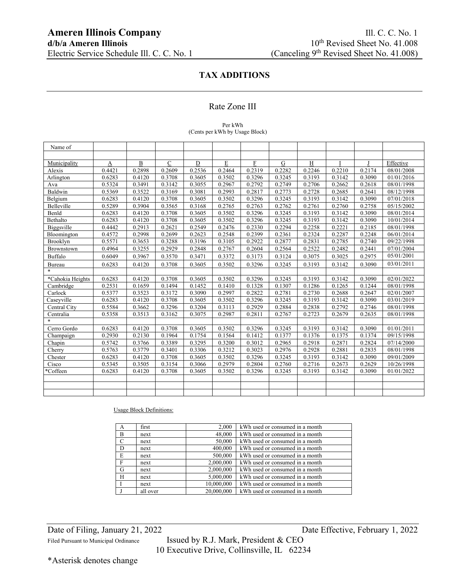### Rate Zone III

### Per kWh (Cents per kWh by Usage Block)

| Name of          |        |        |               |        |             |        |        |        |        |        |                      |
|------------------|--------|--------|---------------|--------|-------------|--------|--------|--------|--------|--------|----------------------|
|                  |        |        |               |        |             |        |        |        |        |        |                      |
| Municipality     | A      | B      | $\mathcal{C}$ | D      | $\mathbf E$ | F      | G      | H      |        |        | Effective            |
| Alexis           | 0.4421 | 0.2898 | 0.2609        | 0.2536 | 0.2464      | 0.2319 | 0.2282 | 0.2246 | 0.2210 | 0.2174 | 08/01/2008           |
| Arlington        | 0.6283 | 0.4120 | 0.3708        | 0.3605 | 0.3502      | 0.3296 | 0.3245 | 0.3193 | 0.3142 | 0.3090 | 01/01/2016           |
| Ava              | 0.5324 | 0.3491 | 0.3142        | 0.3055 | 0.2967      | 0.2792 | 0.2749 | 0.2706 | 0.2662 | 0.2618 | 08/01/1998           |
| Baldwin          | 0.5369 | 0.3522 | 0.3169        | 0.3081 | 0.2993      | 0.2817 | 0.2773 | 0.2728 | 0.2685 | 0.2641 | 08/12/1998           |
| Belgium          | 0.6283 | 0.4120 | 0.3708        | 0.3605 | 0.3502      | 0.3296 | 0.3245 | 0.3193 | 0.3142 | 0.3090 | 07/01/2018           |
| Belleville       | 0.5289 | 0.3904 | 0.3565        | 0.3168 | 0.2765      | 0.2763 | 0.2762 | 0.2761 | 0.2760 | 0.2758 | 05/15/2002           |
| Benld            | 0.6283 | 0.4120 | 0.3708        | 0.3605 | 0.3502      | 0.3296 | 0.3245 | 0.3193 | 0.3142 | 0.3090 | 08/01/2014           |
| Bethalto         | 0.6283 | 0.4120 | 0.3708        | 0.3605 | 0.3502      | 0.3296 | 0.3245 | 0.3193 | 0.3142 | 0.3090 | 10/01/2014           |
| Biggsville       | 0.4442 | 0.2913 | 0.2621        | 0.2549 | 0.2476      | 0.2330 | 0.2294 | 0.2258 | 0.2221 | 0.2185 | 08/01/1998           |
| Bloomington      | 0.4572 | 0.2998 | 0.2699        | 0.2623 | 0.2548      | 0.2399 | 0.2361 | 0.2324 | 0.2287 | 0.2248 | 06/01/2014           |
| Brooklyn         | 0.5571 | 0.3653 | 0.3288        | 0.3196 | 0.3105      | 0.2922 | 0.2877 | 0.2831 | 0.2785 | 0.2740 | $\frac{09}{22}/1998$ |
| Brownstown       | 0.4964 | 0.3255 | 0.2929        | 0.2848 | 0.2767      | 0.2604 | 0.2564 | 0.2522 | 0.2482 | 0.2441 | 07/01/2004           |
| <b>Buffalo</b>   | 0.6049 | 0.3967 | 0.3570        | 0.3471 | 0.3372      | 0.3173 | 0.3124 | 0.3075 | 0.3025 | 0.2975 | 05/01/2001           |
| Bureau           | 0.6283 | 0.4120 | 0.3708        | 0.3605 | 0.3502      | 0.3296 | 0.3245 | 0.3193 | 0.3142 | 0.3090 | 03/01/2011           |
| $\ast$           |        |        |               |        |             |        |        |        |        |        |                      |
| *Cahokia Heights | 0.6283 | 0.4120 | 0.3708        | 0.3605 | 0.3502      | 0.3296 | 0.3245 | 0.3193 | 0.3142 | 0.3090 | 02/01/2022           |
| Cambridge        | 0.2531 | 0.1659 | 0.1494        | 0.1452 | 0.1410      | 0.1328 | 0.1307 | 0.1286 | 0.1265 | 0.1244 | 08/01/1998           |
| Carlock          | 0.5377 | 0.3523 | 0.3172        | 0.3090 | 0.2997      | 0.2822 | 0.2781 | 0.2730 | 0.2688 | 0.2647 | 02/01/2007           |
| Caseyville       | 0.6283 | 0.4120 | 0.3708        | 0.3605 | 0.3502      | 0.3296 | 0.3245 | 0.3193 | 0.3142 | 0.3090 | 03/01/2019           |
| Central City     | 0.5584 | 0.3662 | 0.3296        | 0.3204 | 0.3113      | 0.2929 | 0.2884 | 0.2838 | 0.2792 | 0.2746 | 08/01/1998           |
| Centralia        | 0.5358 | 0.3513 | 0.3162        | 0.3075 | 0.2987      | 0.2811 | 0.2767 | 0.2723 | 0.2679 | 0.2635 | 08/01/1998           |
| $\ast$           |        |        |               |        |             |        |        |        |        |        |                      |
| Cerro Gordo      | 0.6283 | 0.4120 | 0.3708        | 0.3605 | 0.3502      | 0.3296 | 0.3245 | 0.3193 | 0.3142 | 0.3090 | 01/01/2011           |
| Champaign        | 0.2930 | 0.2130 | 0.1964        | 0.1754 | 0.1564      | 0.1412 | 0.1377 | 0.1376 | 0.1375 | 0.1374 | 09/15/1998           |
| Chapin           | 0.5742 | 0.3766 | 0.3389        | 0.3295 | 0.3200      | 0.3012 | 0.2965 | 0.2918 | 0.2871 | 0.2824 | $\sqrt{07/14}/2000$  |
| Cherry           | 0.5763 | 0.3779 | 0.3401        | 0.3306 | 0.3212      | 0.3023 | 0.2976 | 0.2928 | 0.2881 | 0.2835 | 08/01/1998           |
| Chester          | 0.6283 | 0.4120 | 0.3708        | 0.3605 | 0.3502      | 0.3296 | 0.3245 | 0.3193 | 0.3142 | 0.3090 | 09/01/2009           |
| Cisco            | 0.5345 | 0.3505 | 0.3154        | 0.3066 | 0.2979      | 0.2804 | 0.2760 | 0.2716 | 0.2673 | 0.2629 | 10/26/1998           |
| *Coffeen         | 0.6283 | 0.4120 | 0.3708        | 0.3605 | 0.3502      | 0.3296 | 0.3245 | 0.3193 | 0.3142 | 0.3090 | 01/01/2022           |
|                  |        |        |               |        |             |        |        |        |        |        |                      |
|                  |        |        |               |        |             |        |        |        |        |        |                      |
|                  |        |        |               |        |             |        |        |        |        |        |                      |

### Usage Block Definitions:

| A           | first    | 2.000      | kWh used or consumed in a month |
|-------------|----------|------------|---------------------------------|
| B           | next     | 48,000     | kWh used or consumed in a month |
| $\mathbf C$ | next     | 50,000     | kWh used or consumed in a month |
| D           | next     | 400,000    | kWh used or consumed in a month |
| E           | next     | 500,000    | kWh used or consumed in a month |
| F           | next     | 2,000,000  | kWh used or consumed in a month |
| G           | next     | 2,000,000  | kWh used or consumed in a month |
| H           | next     | 5,000,000  | kWh used or consumed in a month |
|             | next     | 10,000,000 | kWh used or consumed in a month |
|             | all over | 20,000,000 | kWh used or consumed in a month |

Filed Pursuant to Municipal Ordinance Issued by R.J. Mark, President & CEO 10 Executive Drive, Collinsville, IL 62234

\*Asterisk denotes change

Date of Filing, January 21, 2022 Date Effective, February 1, 2022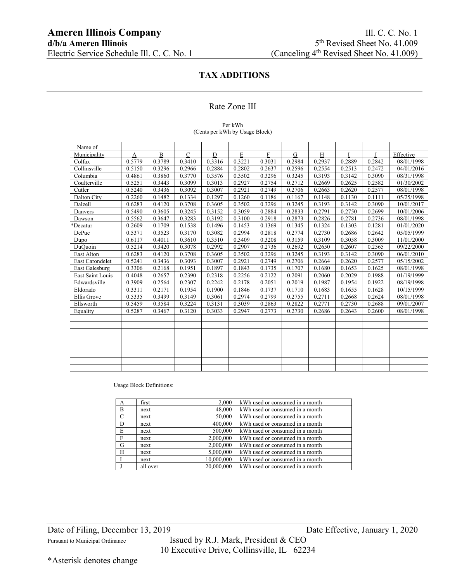### Rate Zone III

#### Per kWh (Cents per kWh by Usage Block)

| Name of          |        |        |             |        |             |        |        |        |        |        |            |
|------------------|--------|--------|-------------|--------|-------------|--------|--------|--------|--------|--------|------------|
| Municipality     | A      | B      | $\mathbf C$ | D      | $\mathbf E$ | F      | G      | H      |        |        | Effective  |
| Colfax           | 0.5779 | 0.3789 | 0.3410      | 0.3316 | 0.3221      | 0.3031 | 0.2984 | 0.2937 | 0.2889 | 0.2842 | 08/01/1998 |
| Collinsville     | 0.5150 | 0.3296 | 0.2966      | 0.2884 | 0.2802      | 0.2637 | 0.2596 | 0.2554 | 0.2513 | 0.2472 | 04/01/2016 |
| Columbia         | 0.4861 | 0.3860 | 0.3770      | 0.3576 | 0.3502      | 0.3296 | 0.3245 | 0.3193 | 0.3142 | 0.3090 | 08/31/1998 |
| Coulterville     | 0.5251 | 0.3443 | 0.3099      | 0.3013 | 0.2927      | 0.2754 | 0.2712 | 0.2669 | 0.2625 | 0.2582 | 01/30/2002 |
| Cutler           | 0.5240 | 0.3436 | 0.3092      | 0.3007 | 0.2921      | 0.2749 | 0.2706 | 0.2663 | 0.2620 | 0.2577 | 08/01/1998 |
| Dalton City      | 0.2260 | 0.1482 | 0.1334      | 0.1297 | 0.1260      | 0.1186 | 0.1167 | 0.1148 | 0.1130 | 0.1111 | 05/25/1998 |
| Dalzell          | 0.6283 | 0.4120 | 0.3708      | 0.3605 | 0.3502      | 0.3296 | 0.3245 | 0.3193 | 0.3142 | 0.3090 | 10/01/2017 |
| Danvers          | 0.5490 | 0.3605 | 0.3245      | 0.3152 | 0.3059      | 0.2884 | 0.2833 | 0.2791 | 0.2750 | 0.2699 | 10/01/2006 |
| Dawson           | 0.5562 | 0.3647 | 0.3283      | 0.3192 | 0.3100      | 0.2918 | 0.2873 | 0.2826 | 0.2781 | 0.2736 | 08/01/1998 |
| *Decatur         | 0.2609 | 0.1709 | 0.1538      | 0.1496 | 0.1453      | 0.1369 | 0.1345 | 0.1324 | 0.1303 | 0.1281 | 01/01/2020 |
| DePue            | 0.5371 | 0.3523 | 0.3170      | 0.3082 | 0.2994      | 0.2818 | 0.2774 | 0.2730 | 0.2686 | 0.2642 | 05/05/1999 |
| Dupo             | 0.6117 | 0.4011 | 0.3610      | 0.3510 | 0.3409      | 0.3208 | 0.3159 | 0.3109 | 0.3058 | 0.3009 | 11/01/2000 |
| DuQuoin          | 0.5214 | 0.3420 | 0.3078      | 0.2992 | 0.2907      | 0.2736 | 0.2692 | 0.2650 | 0.2607 | 0.2565 | 09/22/2000 |
| East Alton       | 0.6283 | 0.4120 | 0.3708      | 0.3605 | 0.3502      | 0.3296 | 0.3245 | 0.3193 | 0.3142 | 0.3090 | 06/01/2010 |
| East Carondelet  | 0.5241 | 0.3436 | 0.3093      | 0.3007 | 0.2921      | 0.2749 | 0.2706 | 0.2664 | 0.2620 | 0.2577 | 05/15/2002 |
| East Galesburg   | 0.3306 | 0.2168 | 0.1951      | 0.1897 | 0.1843      | 0.1735 | 0.1707 | 0.1680 | 0.1653 | 0.1625 | 08/01/1998 |
| East Saint Louis | 0.4048 | 0.2657 | 0.2390      | 0.2318 | 0.2256      | 0.2122 | 0.2091 | 0.2060 | 0.2029 | 0.1988 | 01/19/1999 |
| Edwardsville     | 0.3909 | 0.2564 | 0.2307      | 0.2242 | 0.2178      | 0.2051 | 0.2019 | 0.1987 | 0.1954 | 0.1922 | 08/19/1998 |
| Eldorado         | 0.3311 | 0.2171 | 0.1954      | 0.1900 | 0.1846      | 0.1737 | 0.1710 | 0.1683 | 0.1655 | 0.1628 | 10/15/1999 |
| Ellis Grove      | 0.5335 | 0.3499 | 0.3149      | 0.3061 | 0.2974      | 0.2799 | 0.2755 | 0.2711 | 0.2668 | 0.2624 | 08/01/1998 |
| Ellsworth        | 0.5459 | 0.3584 | 0.3224      | 0.3131 | 0.3039      | 0.2863 | 0.2822 | 0.2771 | 0.2730 | 0.2688 | 09/01/2007 |
| Equality         | 0.5287 | 0.3467 | 0.3120      | 0.3033 | 0.2947      | 0.2773 | 0.2730 | 0.2686 | 0.2643 | 0.2600 | 08/01/1998 |
|                  |        |        |             |        |             |        |        |        |        |        |            |
|                  |        |        |             |        |             |        |        |        |        |        |            |
|                  |        |        |             |        |             |        |        |        |        |        |            |
|                  |        |        |             |        |             |        |        |        |        |        |            |
|                  |        |        |             |        |             |        |        |        |        |        |            |
|                  |        |        |             |        |             |        |        |        |        |        |            |
|                  |        |        |             |        |             |        |        |        |        |        |            |
|                  |        |        |             |        |             |        |        |        |        |        |            |

#### Usage Block Definitions:

| A             | first    | 2,000      | kWh used or consumed in a month |
|---------------|----------|------------|---------------------------------|
| B             | next     | 48,000     | kWh used or consumed in a month |
| $\mathcal{C}$ | next     | 50,000     | kWh used or consumed in a month |
| D             | next     | 400,000    | kWh used or consumed in a month |
| E             | next     | 500,000    | kWh used or consumed in a month |
| F             | next     | 2,000,000  | kWh used or consumed in a month |
| G             | next     | 2,000,000  | kWh used or consumed in a month |
| H             | next     | 5,000,000  | kWh used or consumed in a month |
|               | next     | 10,000,000 | kWh used or consumed in a month |
|               | all over | 20,000,000 | kWh used or consumed in a month |

Date of Filing, December 13, 2019 Date Effective, January 1, 2020

Pursuant to Municipal Ordinance Issued by R.J. Mark, President & CEO 10 Executive Drive, Collinsville, IL 62234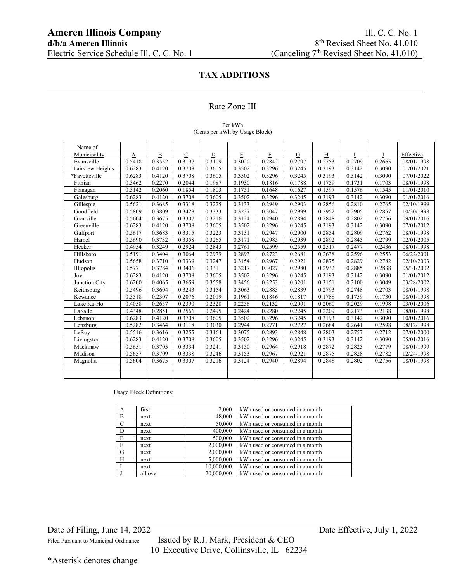### Rate Zone III

#### Per kWh (Cents per kWh by Usage Block)

| Name of          |        |        |             |        |        |        |             |        |        |        |            |
|------------------|--------|--------|-------------|--------|--------|--------|-------------|--------|--------|--------|------------|
| Municipality     | A      | B      | $\mathbf C$ | D      | E      | F      | $\mathbf G$ | H      |        | J      | Effective  |
| Evansville       | 0.5418 | 0.3552 | 0.3197      | 0.3109 | 0.3020 | 0.2842 | 0.2797      | 0.2753 | 0.2709 | 0.2665 | 08/01/1998 |
| Fairview Heights | 0.6283 | 0.4120 | 0.3708      | 0.3605 | 0.3502 | 0.3296 | 0.3245      | 0.3193 | 0.3142 | 0.3090 | 01/01/2021 |
| *Fayetteville    | 0.6283 | 0.4120 | 0.3708      | 0.3605 | 0.3502 | 0.3296 | 0.3245      | 0.3193 | 0.3142 | 0.3090 | 07/01/2022 |
| Fithian          | 0.3462 | 0.2270 | 0.2044      | 0.1987 | 0.1930 | 0.1816 | 0.1788      | 0.1759 | 0.1731 | 0.1703 | 08/01/1998 |
| Flanagan         | 0.3142 | 0.2060 | 0.1854      | 0.1803 | 0.1751 | 0.1648 | 0.1627      | 0.1597 | 0.1576 | 0.1545 | 11/01/2010 |
| Galesburg        | 0.6283 | 0.4120 | 0.3708      | 0.3605 | 0.3502 | 0.3296 | 0.3245      | 0.3193 | 0.3142 | 0.3090 | 01/01/2016 |
| Gillespie        | 0.5621 | 0.3685 | 0.3318      | 0.3225 | 0.3133 | 0.2949 | 0.2903      | 0.2856 | 0.2810 | 0.2765 | 02/10/1999 |
| Goodfield        | 0.5809 | 0.3809 | 0.3428      | 0.3333 | 0.3237 | 0.3047 | 0.2999      | 0.2952 | 0.2905 | 0.2857 | 10/30/1998 |
| Granville        | 0.5604 | 0.3675 | 0.3307      | 0.3216 | 0.3124 | 0.2940 | 0.2894      | 0.2848 | 0.2802 | 0.2756 | 09/01/2016 |
| Greenville       | 0.6283 | 0.4120 | 0.3708      | 0.3605 | 0.3502 | 0.3296 | 0.3245      | 0.3193 | 0.3142 | 0.3090 | 07/01/2012 |
| Gulfport         | 0.5617 | 0.3683 | 0.3315      | 0.3223 | 0.3131 | 0.2947 | 0.2900      | 0.2854 | 0.2809 | 0.2762 | 08/01/1998 |
| Hamel            | 0.5690 | 0.3732 | 0.3358      | 0.3265 | 0.3171 | 0.2985 | 0.2939      | 0.2892 | 0.2845 | 0.2799 | 02/01/2005 |
| Hecker           | 0.4954 | 0.3249 | 0.2924      | 0.2843 | 0.2761 | 0.2599 | 0.2559      | 0.2517 | 0.2477 | 0.2436 | 08/01/1998 |
| Hillsboro        | 0.5191 | 0.3404 | 0.3064      | 0.2979 | 0.2893 | 0.2723 | 0.2681      | 0.2638 | 0.2596 | 0.2553 | 06/22/2001 |
| Hudson           | 0.5658 | 0.3710 | 0.3339      | 0.3247 | 0.3154 | 0.2967 | 0.2921      | 0.2875 | 0.2829 | 0.2782 | 02/10/2003 |
| Illiopolis       | 0.5771 | 0.3784 | 0.3406      | 0.3311 | 0.3217 | 0.3027 | 0.2980      | 0.2932 | 0.2885 | 0.2838 | 05/31/2002 |
| Joy              | 0.6283 | 0.4120 | 0.3708      | 0.3605 | 0.3502 | 0.3296 | 0.3245      | 0.3193 | 0.3142 | 0.3090 | 01/01/2012 |
| Junction City    | 0.6200 | 0.4065 | 0.3659      | 0.3558 | 0.3456 | 0.3253 | 0.3201      | 0.3151 | 0.3100 | 0.3049 | 03/28/2002 |
| Keithsburg       | 0.5496 | 0.3604 | 0.3243      | 0.3154 | 0.3063 | 0.2883 | 0.2839      | 0.2793 | 0.2748 | 0.2703 | 08/01/1998 |
| Kewanee          | 0.3518 | 0.2307 | 0.2076      | 0.2019 | 0.1961 | 0.1846 | 0.1817      | 0.1788 | 0.1759 | 0.1730 | 08/01/1998 |
| Lake Ka-Ho       | 0.4058 | 0.2657 | 0.2390      | 0.2328 | 0.2256 | 0.2132 | 0.2091      | 0.2060 | 0.2029 | 0.1998 | 03/01/2006 |
| LaSalle          | 0.4348 | 0.2851 | 0.2566      | 0.2495 | 0.2424 | 0.2280 | 0.2245      | 0.2209 | 0.2173 | 0.2138 | 08/01/1998 |
| Lebanon          | 0.6283 | 0.4120 | 0.3708      | 0.3605 | 0.3502 | 0.3296 | 0.3245      | 0.3193 | 0.3142 | 0.3090 | 10/01/2016 |
| Lenzburg         | 0.5282 | 0.3464 | 0.3118      | 0.3030 | 0.2944 | 0.2771 | 0.2727      | 0.2684 | 0.2641 | 0.2598 | 08/12/1998 |
| LeRoy            | 0.5516 | 0.3616 | 0.3255      | 0.3164 | 0.3075 | 0.2893 | 0.2848      | 0.2803 | 0.2757 | 0.2712 | 07/01/2000 |
| Livingston       | 0.6283 | 0.4120 | 0.3708      | 0.3605 | 0.3502 | 0.3296 | 0.3245      | 0.3193 | 0.3142 | 0.3090 | 05/01/2016 |
| Mackinaw         | 0.5651 | 0.3705 | 0.3334      | 0.3241 | 0.3150 | 0.2964 | 0.2918      | 0.2872 | 0.2825 | 0.2779 | 08/01/1999 |
| Madison          | 0.5657 | 0.3709 | 0.3338      | 0.3246 | 0.3153 | 0.2967 | 0.2921      | 0.2875 | 0.2828 | 0.2782 | 12/24/1998 |
| Magnolia         | 0.5604 | 0.3675 | 0.3307      | 0.3216 | 0.3124 | 0.2940 | 0.2894      | 0.2848 | 0.2802 | 0.2756 | 08/01/1998 |
|                  |        |        |             |        |        |        |             |        |        |        |            |
|                  |        |        |             |        |        |        |             |        |        |        |            |

### Usage Block Definitions:

| A             | first    | 2,000      | kWh used or consumed in a month |
|---------------|----------|------------|---------------------------------|
| B             | next     | 48,000     | kWh used or consumed in a month |
| $\mathcal{C}$ | next     | 50,000     | kWh used or consumed in a month |
| D             | next     | 400,000    | kWh used or consumed in a month |
| E             | next     | 500,000    | kWh used or consumed in a month |
| $\mathbf{F}$  | next     | 2,000,000  | kWh used or consumed in a month |
| G             | next     | 2,000,000  | kWh used or consumed in a month |
| H             | next     | 5,000,000  | kWh used or consumed in a month |
|               | next     | 10,000,000 | kWh used or consumed in a month |
|               | all over | 20,000,000 | kWh used or consumed in a month |

Filed Pursuant to Municipal Ordinance Issued by R.J. Mark, President & CEO 10 Executive Drive, Collinsville, IL 62234

Date of Filing, June 14, 2022 Date Effective, July 1, 2022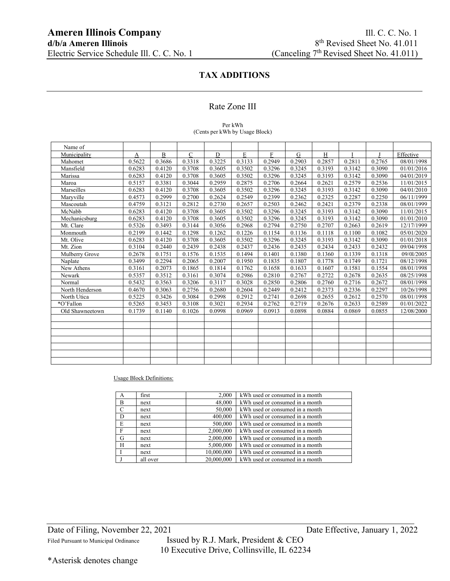### Rate Zone III

#### Per kWh (Cents per kWh by Usage Block)

| Name of         |        |        |              |             |        |             |           |        |        |        |            |
|-----------------|--------|--------|--------------|-------------|--------|-------------|-----------|--------|--------|--------|------------|
| Municipality    | A      | B      | $\mathsf{C}$ | $\mathbf D$ | E      | $\mathbf F$ | ${\bf G}$ | $\,$ H |        |        | Effective  |
| Mahomet         | 0.5622 | 0.3686 | 0.3318       | 0.3225      | 0.3133 | 0.2949      | 0.2903    | 0.2857 | 0.2811 | 0.2765 | 08/01/1998 |
| Mansfield       | 0.6283 | 0.4120 | 0.3708       | 0.3605      | 0.3502 | 0.3296      | 0.3245    | 0.3193 | 0.3142 | 0.3090 | 01/01/2016 |
| Marissa         | 0.6283 | 0.4120 | 0.3708       | 0.3605      | 0.3502 | 0.3296      | 0.3245    | 0.3193 | 0.3142 | 0.3090 | 04/01/2019 |
| Maroa           | 0.5157 | 0.3381 | 0.3044       | 0.2959      | 0.2875 | 0.2706      | 0.2664    | 0.2621 | 0.2579 | 0.2536 | 11/01/2015 |
| Marseilles      | 0.6283 | 0.4120 | 0.3708       | 0.3605      | 0.3502 | 0.3296      | 0.3245    | 0.3193 | 0.3142 | 0.3090 | 04/01/2010 |
| Maryville       | 0.4573 | 0.2999 | 0.2700       | 0.2624      | 0.2549 | 0.2399      | 0.2362    | 0.2325 | 0.2287 | 0.2250 | 06/11/1999 |
| Mascoutah       | 0.4759 | 0.3121 | 0.2812       | 0.2730      | 0.2657 | 0.2503      | 0.2462    | 0.2421 | 0.2379 | 0.2338 | 08/01/1999 |
| McNabb          | 0.6283 | 0.4120 | 0.3708       | 0.3605      | 0.3502 | 0.3296      | 0.3245    | 0.3193 | 0.3142 | 0.3090 | 11/01/2015 |
| Mechanicsburg   | 0.6283 | 0.4120 | 0.3708       | 0.3605      | 0.3502 | 0.3296      | 0.3245    | 0.3193 | 0.3142 | 0.3090 | 01/01/2010 |
| Mt. Clare       | 0.5326 | 0.3493 | 0.3144       | 0.3056      | 0.2968 | 0.2794      | 0.2750    | 0.2707 | 0.2663 | 0.2619 | 12/17/1999 |
| Monmouth        | 0.2199 | 0.1442 | 0.1298       | 0.1262      | 0.1226 | 0.1154      | 0.1136    | 0.1118 | 0.1100 | 0.1082 | 05/01/2020 |
| Mt. Olive       | 0.6283 | 0.4120 | 0.3708       | 0.3605      | 0.3502 | 0.3296      | 0.3245    | 0.3193 | 0.3142 | 0.3090 | 01/01/2018 |
| Mt. Zion        | 0.3104 | 0.2440 | 0.2439       | 0.2438      | 0.2437 | 0.2436      | 0.2435    | 0.2434 | 0.2433 | 0.2432 | 09/04/1998 |
| Mulberry Grove  | 0.2678 | 0.1751 | 0.1576       | 0.1535      | 0.1494 | 0.1401      | 0.1380    | 0.1360 | 0.1339 | 0.1318 | 09/01/2005 |
| Naplate         | 0.3499 | 0.2294 | 0.2065       | 0.2007      | 0.1950 | 0.1835      | 0.1807    | 0.1778 | 0.1749 | 0.1721 | 08/12/1998 |
| New Athens      | 0.3161 | 0.2073 | 0.1865       | 0.1814      | 0.1762 | 0.1658      | 0.1633    | 0.1607 | 0.1581 | 0.1554 | 08/01/1998 |
| Newark          | 0.5357 | 0.3512 | 0.3161       | 0.3074      | 0.2986 | 0.2810      | 0.2767    | 0.2722 | 0.2678 | 0.2635 | 08/25/1998 |
| Normal          | 0.5432 | 0.3563 | 0.3206       | 0.3117      | 0.3028 | 0.2850      | 0.2806    | 0.2760 | 0.2716 | 0.2672 | 08/01/1998 |
| North Henderson | 0.4670 | 0.3063 | 0.2756       | 0.2680      | 0.2604 | 0.2449      | 0.2412    | 0.2373 | 0.2336 | 0.2297 | 10/26/1998 |
| North Utica     | 0.5225 | 0.3426 | 0.3084       | 0.2998      | 0.2912 | 0.2741      | 0.2698    | 0.2655 | 0.2612 | 0.2570 | 08/01/1998 |
| *O'Fallon       | 0.5265 | 0.3453 | 0.3108       | 0.3021      | 0.2934 | 0.2762      | 0.2719    | 0.2676 | 0.2633 | 0.2589 | 01/01/2022 |
| Old Shawneetown | 0.1739 | 0.1140 | 0.1026       | 0.0998      | 0.0969 | 0.0913      | 0.0898    | 0.0884 | 0.0869 | 0.0855 | 12/08/2000 |
|                 |        |        |              |             |        |             |           |        |        |        |            |
|                 |        |        |              |             |        |             |           |        |        |        |            |
|                 |        |        |              |             |        |             |           |        |        |        |            |
|                 |        |        |              |             |        |             |           |        |        |        |            |
|                 |        |        |              |             |        |             |           |        |        |        |            |
|                 |        |        |              |             |        |             |           |        |        |        |            |
|                 |        |        |              |             |        |             |           |        |        |        |            |

Usage Block Definitions:

| А             | first    | 2,000      | kWh used or consumed in a month |
|---------------|----------|------------|---------------------------------|
| B             | next     | 48,000     | kWh used or consumed in a month |
| $\mathcal{C}$ | next     | 50,000     | kWh used or consumed in a month |
| D             | next     | 400,000    | kWh used or consumed in a month |
| E             | next     | 500,000    | kWh used or consumed in a month |
| F             | next     | 2,000,000  | kWh used or consumed in a month |
| G             | next     | 2,000,000  | kWh used or consumed in a month |
| H             | next     | 5,000,000  | kWh used or consumed in a month |
|               | next     | 10,000,000 | kWh used or consumed in a month |
|               | all over | 20,000,000 | kWh used or consumed in a month |

Filed Pursuant to Municipal Ordinance Issued by R.J. Mark, President & CEO 10 Executive Drive, Collinsville, IL 62234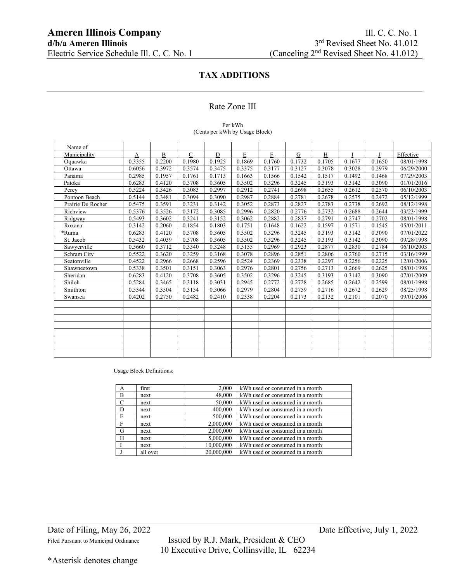### Rate Zone III

#### Per kWh (Cents per kWh by Usage Block)

| Name of           |        |              |              |             |        |        |        |        |        |        |                      |
|-------------------|--------|--------------|--------------|-------------|--------|--------|--------|--------|--------|--------|----------------------|
| Municipality      | A      | $\, {\bf B}$ | $\mathsf{C}$ | $\mathbf D$ | E      | F      | G      | H      |        |        | Effective            |
| Oquawka           | 0.3355 | 0.2200       | 0.1980       | 0.1925      | 0.1869 | 0.1760 | 0.1732 | 0.1705 | 0.1677 | 0.1650 | 08/01/1998           |
| Ottawa            | 0.6056 | 0.3972       | 0.3574       | 0.3475      | 0.3375 | 0.3177 | 0.3127 | 0.3078 | 0.3028 | 0.2979 | 06/29/2000           |
| Panama            | 0.2985 | 0.1957       | 0.1761       | 0.1713      | 0.1663 | 0.1566 | 0.1542 | 0.1517 | 0.1492 | 0.1468 | 07/29/2003           |
| Patoka            | 0.6283 | 0.4120       | 0.3708       | 0.3605      | 0.3502 | 0.3296 | 0.3245 | 0.3193 | 0.3142 | 0.3090 | 01/01/2016           |
| Percy             | 0.5224 | 0.3426       | 0.3083       | 0.2997      | 0.2912 | 0.2741 | 0.2698 | 0.2655 | 0.2612 | 0.2570 | 06/10/2003           |
| Pontoon Beach     | 0.5144 | 0.3481       | 0.3094       | 0.3090      | 0.2987 | 0.2884 | 0.2781 | 0.2678 | 0.2575 | 0.2472 | 05/12/1999           |
| Prairie Du Rocher | 0.5475 | 0.3591       | 0.3231       | 0.3142      | 0.3052 | 0.2873 | 0.2827 | 0.2783 | 0.2738 | 0.2692 | 08/12/1998           |
| Richview          | 0.5376 | 0.3526       | 0.3172       | 0.3085      | 0.2996 | 0.2820 | 0.2776 | 0.2732 | 0.2688 | 0.2644 | 03/23/1999           |
| Ridgway           | 0.5493 | 0.3602       | 0.3241       | 0.3152      | 0.3062 | 0.2882 | 0.2837 | 0.2791 | 0.2747 | 0.2702 | 08/01/1998           |
| Roxana            | 0.3142 | 0.2060       | 0.1854       | 0.1803      | 0.1751 | 0.1648 | 0.1622 | 0.1597 | 0.1571 | 0.1545 | 05/01/2011           |
| *Ruma             | 0.6283 | 0.4120       | 0.3708       | 0.3605      | 0.3502 | 0.3296 | 0.3245 | 0.3193 | 0.3142 | 0.3090 | $\frac{07}{01/2022}$ |
| St. Jacob         | 0.5432 | 0.4039       | 0.3708       | 0.3605      | 0.3502 | 0.3296 | 0.3245 | 0.3193 | 0.3142 | 0.3090 | 09/28/1998           |
| Sawyerville       | 0.5660 | 0.3712       | 0.3340       | 0.3248      | 0.3155 | 0.2969 | 0.2923 | 0.2877 | 0.2830 | 0.2784 | 06/10/2003           |
| Schram City       | 0.5522 | 0.3620       | 0.3259       | 0.3168      | 0.3078 | 0.2896 | 0.2851 | 0.2806 | 0.2760 | 0.2715 | 03/16/1999           |
| Seatonville       | 0.4522 | 0.2966       | 0.2668       | 0.2596      | 0.2524 | 0.2369 | 0.2338 | 0.2297 | 0.2256 | 0.2225 | 12/01/2006           |
| Shawneetown       | 0.5338 | 0.3501       | 0.3151       | 0.3063      | 0.2976 | 0.2801 | 0.2756 | 0.2713 | 0.2669 | 0.2625 | 08/01/1998           |
| Sheridan          | 0.6283 | 0.4120       | 0.3708       | 0.3605      | 0.3502 | 0.3296 | 0.3245 | 0.3193 | 0.3142 | 0.3090 | 07/01/2009           |
| Shiloh            | 0.5284 | 0.3465       | 0.3118       | 0.3031      | 0.2945 | 0.2772 | 0.2728 | 0.2685 | 0.2642 | 0.2599 | 08/01/1998           |
| Smithton          | 0.5344 | 0.3504       | 0.3154       | 0.3066      | 0.2979 | 0.2804 | 0.2759 | 0.2716 | 0.2672 | 0.2629 | 08/25/1998           |
| Swansea           | 0.4202 | 0.2750       | 0.2482       | 0.2410      | 0.2338 | 0.2204 | 0.2173 | 0.2132 | 0.2101 | 0.2070 | 09/01/2006           |
|                   |        |              |              |             |        |        |        |        |        |        |                      |
|                   |        |              |              |             |        |        |        |        |        |        |                      |
|                   |        |              |              |             |        |        |        |        |        |        |                      |
|                   |        |              |              |             |        |        |        |        |        |        |                      |
|                   |        |              |              |             |        |        |        |        |        |        |                      |
|                   |        |              |              |             |        |        |        |        |        |        |                      |
|                   |        |              |              |             |        |        |        |        |        |        |                      |
|                   |        |              |              |             |        |        |        |        |        |        |                      |

Usage Block Definitions:

| A             | first    | 2,000      | kWh used or consumed in a month |
|---------------|----------|------------|---------------------------------|
| B             | next     | 48,000     | kWh used or consumed in a month |
| $\mathcal{C}$ | next     | 50,000     | kWh used or consumed in a month |
| D             | next     | 400,000    | kWh used or consumed in a month |
| E             | next     | 500,000    | kWh used or consumed in a month |
| F             | next     | 2,000,000  | kWh used or consumed in a month |
| G             | next     | 2,000,000  | kWh used or consumed in a month |
| H             | next     | 5,000,000  | kWh used or consumed in a month |
|               | next     | 10,000,000 | kWh used or consumed in a month |
|               | all over | 20,000,000 | kWh used or consumed in a month |

Filed Pursuant to Municipal Ordinance Issued by R.J. Mark, President & CEO 10 Executive Drive, Collinsville, IL 62234